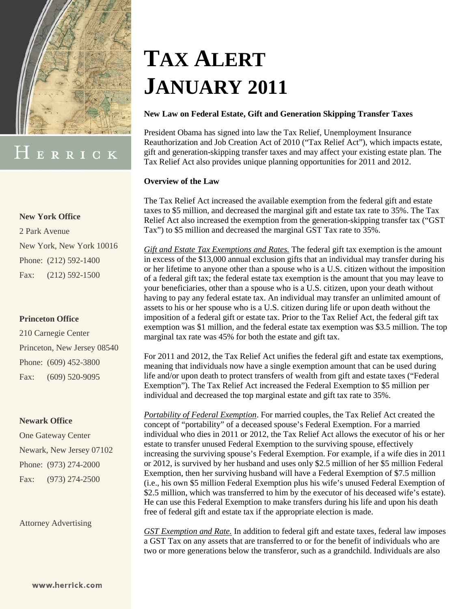

# HERRICK

### **New York Office**

2 Park Avenue New York, New York 10016 Phone: (212) 592-1400 Fax: (212) 592-1500

### **Princeton Office**

210 Carnegie Center Princeton, New Jersey 08540 Phone: (609) 452-3800 Fax: (609) 520-9095

#### **Newark Office**

One Gateway Center Newark, New Jersey 07102 Phone: (973) 274-2000 Fax: (973) 274-2500

Attorney Advertising

# **TAX ALERT JANUARY 2011**

### **New Law on Federal Estate, Gift and Generation Skipping Transfer Taxes**

President Obama has signed into law the Tax Relief, Unemployment Insurance Reauthorization and Job Creation Act of 2010 ("Tax Relief Act"), which impacts estate, gift and generation-skipping transfer taxes and may affect your existing estate plan. The Tax Relief Act also provides unique planning opportunities for 2011 and 2012.

### **Overview of the Law**

The Tax Relief Act increased the available exemption from the federal gift and estate taxes to \$5 million, and decreased the marginal gift and estate tax rate to 35%. The Tax Relief Act also increased the exemption from the generation-skipping transfer tax ("GST Tax") to \$5 million and decreased the marginal GST Tax rate to 35%.

*Gift and Estate Tax Exemptions and Rates.* The federal gift tax exemption is the amount in excess of the \$13,000 annual exclusion gifts that an individual may transfer during his or her lifetime to anyone other than a spouse who is a U.S. citizen without the imposition of a federal gift tax; the federal estate tax exemption is the amount that you may leave to your beneficiaries, other than a spouse who is a U.S. citizen, upon your death without having to pay any federal estate tax. An individual may transfer an unlimited amount of assets to his or her spouse who is a U.S. citizen during life or upon death without the imposition of a federal gift or estate tax. Prior to the Tax Relief Act, the federal gift tax exemption was \$1 million, and the federal estate tax exemption was \$3.5 million. The top marginal tax rate was 45% for both the estate and gift tax.

For 2011 and 2012, the Tax Relief Act unifies the federal gift and estate tax exemptions, meaning that individuals now have a single exemption amount that can be used during life and/or upon death to protect transfers of wealth from gift and estate taxes ("Federal Exemption"). The Tax Relief Act increased the Federal Exemption to \$5 million per individual and decreased the top marginal estate and gift tax rate to 35%.

*Portability of Federal Exemption*. For married couples, the Tax Relief Act created the concept of "portability" of a deceased spouse's Federal Exemption. For a married individual who dies in 2011 or 2012, the Tax Relief Act allows the executor of his or her estate to transfer unused Federal Exemption to the surviving spouse, effectively increasing the surviving spouse's Federal Exemption. For example, if a wife dies in 2011 or 2012, is survived by her husband and uses only \$2.5 million of her \$5 million Federal Exemption, then her surviving husband will have a Federal Exemption of \$7.5 million (i.e., his own \$5 million Federal Exemption plus his wife's unused Federal Exemption of \$2.5 million, which was transferred to him by the executor of his deceased wife's estate). He can use this Federal Exemption to make transfers during his life and upon his death free of federal gift and estate tax if the appropriate election is made.

*GST Exemption and Rate.* In addition to federal gift and estate taxes, federal law imposes a GST Tax on any assets that are transferred to or for the benefit of individuals who are two or more generations below the transferor, such as a grandchild. Individuals are also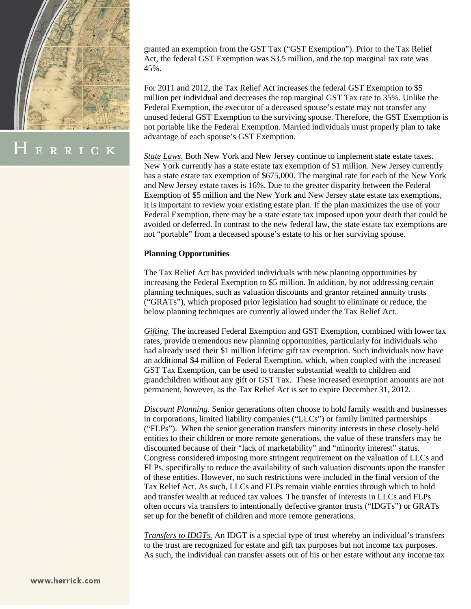

ERRICK

granted an exemption from the GST Tax ("GST Exemption"). Prior to the Tax Relief Act, the federal GST Exemption was \$3.5 million, and the top marginal tax rate was 45%.

For 2011 and 2012, the Tax Relief Act increases the federal GST Exemption to \$5 million per individual and decreases the top marginal GST Tax rate to 35%. Unlike the Federal Exemption, the executor of a deceased spouse's estate may not transfer any unused federal GST Exemption to the surviving spouse. Therefore, the GST Exemption is not portable like the Federal Exemption. Married individuals must properly plan to take advantage of each spouse's GST Exemption.

*State Laws.* Both New York and New Jersey continue to implement state estate taxes. New York currently has a state estate tax exemption of \$1 million. New Jersey currently has a state estate tax exemption of \$675,000. The marginal rate for each of the New York and New Jersey estate taxes is 16%. Due to the greater disparity between the Federal Exemption of \$5 million and the New York and New Jersey state estate tax exemptions, it is important to review your existing estate plan. If the plan maximizes the use of your Federal Exemption, there may be a state estate tax imposed upon your death that could be avoided or deferred. In contrast to the new federal law, the state estate tax exemptions are not "portable" from a deceased spouse's estate to his or her surviving spouse.

### **Planning Opportunities**

The Tax Relief Act has provided individuals with new planning opportunities by increasing the Federal Exemption to \$5 million. In addition, by not addressing certain planning techniques, such as valuation discounts and grantor retained annuity trusts ("GRATs"), which proposed prior legislation had sought to eliminate or reduce, the below planning techniques are currently allowed under the Tax Relief Act.

*Gifting.* The increased Federal Exemption and GST Exemption, combined with lower tax rates, provide tremendous new planning opportunities, particularly for individuals who had already used their \$1 million lifetime gift tax exemption. Such individuals now have an additional \$4 million of Federal Exemption, which, when coupled with the increased GST Tax Exemption, can be used to transfer substantial wealth to children and grandchildren without any gift or GST Tax. These increased exemption amounts are not permanent, however, as the Tax Relief Act is set to expire December 31, 2012.

*Discount Planning.* Senior generations often choose to hold family wealth and businesses in corporations, limited liability companies ("LLCs") or family limited partnerships ("FLPs"). When the senior generation transfers minority interests in these closely-held entities to their children or more remote generations, the value of these transfers may be discounted because of their "lack of marketability" and "minority interest" status. Congress considered imposing more stringent requirement on the valuation of LLCs and FLPs, specifically to reduce the availability of such valuation discounts upon the transfer of these entities. However, no such restrictions were included in the final version of the Tax Relief Act. As such, LLCs and FLPs remain viable entities through which to hold and transfer wealth at reduced tax values. The transfer of interests in LLCs and FLPs often occurs via transfers to intentionally defective grantor trusts ("IDGTs") or GRATs set up for the benefit of children and more remote generations.

*Transfers to IDGTs.* An IDGT is a special type of trust whereby an individual's transfers to the trust are recognized for estate and gift tax purposes but not income tax purposes. As such, the individual can transfer assets out of his or her estate without any income tax